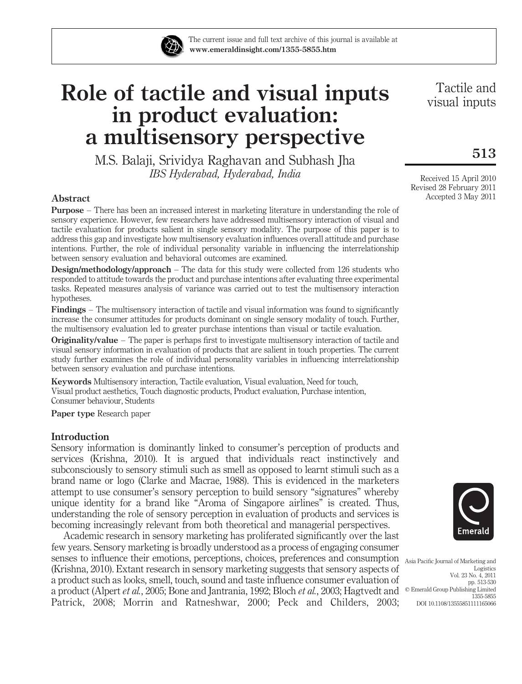

The current issue and full text archive of this journal is available at www.emeraldinsight.com/1355-5855.htm

# Role of tactile and visual inputs in product evaluation: a multisensory perspective

M.S. Balaji, Srividya Raghavan and Subhash Jha IBS Hyderabad, Hyderabad, India

#### Abstract

Purpose – There has been an increased interest in marketing literature in understanding the role of sensory experience. However, few researchers have addressed multisensory interaction of visual and tactile evaluation for products salient in single sensory modality. The purpose of this paper is to address this gap and investigate how multisensory evaluation influences overall attitude and purchase intentions. Further, the role of individual personality variable in influencing the interrelationship between sensory evaluation and behavioral outcomes are examined.

**Design/methodology/approach** – The data for this study were collected from 126 students who responded to attitude towards the product and purchase intentions after evaluating three experimental tasks. Repeated measures analysis of variance was carried out to test the multisensory interaction hypotheses.

Findings – The multisensory interaction of tactile and visual information was found to significantly increase the consumer attitudes for products dominant on single sensory modality of touch. Further, the multisensory evaluation led to greater purchase intentions than visual or tactile evaluation.

Originality/value – The paper is perhaps first to investigate multisensory interaction of tactile and visual sensory information in evaluation of products that are salient in touch properties. The current study further examines the role of individual personality variables in influencing interrelationship between sensory evaluation and purchase intentions.

Keywords Multisensory interaction, Tactile evaluation, Visual evaluation, Need for touch, Visual product aesthetics, Touch diagnostic products, Product evaluation, Purchase intention, Consumer behaviour, Students

Paper type Research paper

#### Introduction

Sensory information is dominantly linked to consumer's perception of products and services (Krishna, 2010). It is argued that individuals react instinctively and subconsciously to sensory stimuli such as smell as opposed to learnt stimuli such as a brand name or logo (Clarke and Macrae, 1988). This is evidenced in the marketers attempt to use consumer's sensory perception to build sensory "signatures" whereby unique identity for a brand like "Aroma of Singapore airlines" is created. Thus, understanding the role of sensory perception in evaluation of products and services is becoming increasingly relevant from both theoretical and managerial perspectives.

Academic research in sensory marketing has proliferated significantly over the last few years. Sensory marketing is broadly understood as a process of engaging consumer senses to influence their emotions, perceptions, choices, preferences and consumption Asia Pacific Journal of Marketing and (Krishna, 2010). Extant research in sensory marketing suggests that sensory aspects of a product such as looks, smell, touch, sound and taste influence consumer evaluation of a product (Alpert *et al.*, 2005; Bone and Jantrania, 1992; Bloch *et al.*, 2003; Hagtvedt and  $\circ$  Emerald Group Publishing Limited Sesse Patrick, 2008; Morrin and Ratneshwar, 2000; Peck and Childers, 2003;

Tactile and visual inputs

# 513

Received 15 April 2010 Revised 28 February 2011 Accepted 3 May 2011



Logistics Vol. 23 No. 4, 2011 pp. 513-530 1355-5855 DOI 10.1108/13555851111165066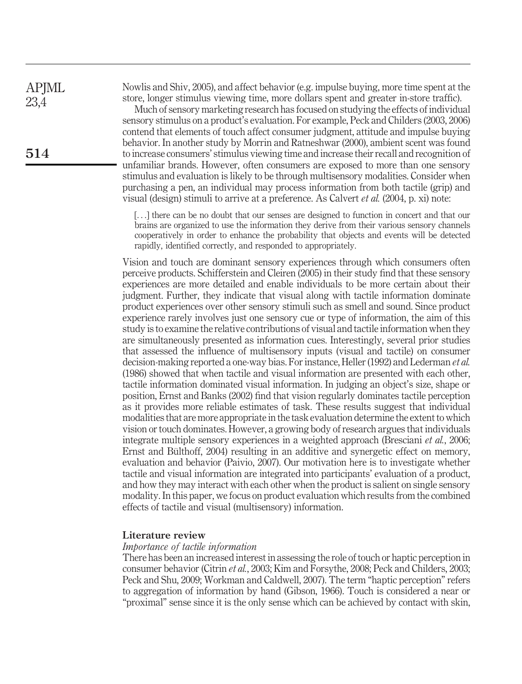Nowlis and Shiv, 2005), and affect behavior (e.g. impulse buying, more time spent at the store, longer stimulus viewing time, more dollars spent and greater in-store traffic).

Much of sensory marketing research has focused on studying the effects of individual sensory stimulus on a product's evaluation. For example, Peck and Childers (2003, 2006) contend that elements of touch affect consumer judgment, attitude and impulse buying behavior. In another study by Morrin and Ratneshwar (2000), ambient scent was found to increase consumers' stimulus viewing time and increase their recall and recognition of unfamiliar brands. However, often consumers are exposed to more than one sensory stimulus and evaluation is likely to be through multisensory modalities. Consider when purchasing a pen, an individual may process information from both tactile (grip) and visual (design) stimuli to arrive at a preference. As Calvert et al. (2004, p. xi) note:

[...] there can be no doubt that our senses are designed to function in concert and that our brains are organized to use the information they derive from their various sensory channels cooperatively in order to enhance the probability that objects and events will be detected rapidly, identified correctly, and responded to appropriately.

Vision and touch are dominant sensory experiences through which consumers often perceive products. Schifferstein and Cleiren (2005) in their study find that these sensory experiences are more detailed and enable individuals to be more certain about their judgment. Further, they indicate that visual along with tactile information dominate product experiences over other sensory stimuli such as smell and sound. Since product experience rarely involves just one sensory cue or type of information, the aim of this study is to examine the relative contributions of visual and tactile information when they are simultaneously presented as information cues. Interestingly, several prior studies that assessed the influence of multisensory inputs (visual and tactile) on consumer decision-making reported a one-way bias. For instance, Heller (1992) and Lederman et al. (1986) showed that when tactile and visual information are presented with each other, tactile information dominated visual information. In judging an object's size, shape or position, Ernst and Banks (2002) find that vision regularly dominates tactile perception as it provides more reliable estimates of task. These results suggest that individual modalities that are more appropriate in the task evaluation determine the extent to which vision or touch dominates. However, a growing body of research argues that individuals integrate multiple sensory experiences in a weighted approach (Bresciani et al., 2006; Ernst and Bülthoff, 2004) resulting in an additive and synergetic effect on memory. evaluation and behavior (Paivio, 2007). Our motivation here is to investigate whether tactile and visual information are integrated into participants' evaluation of a product, and how they may interact with each other when the product is salient on single sensory modality. In this paper, we focus on product evaluation which results from the combined effects of tactile and visual (multisensory) information.

#### Literature review

#### Importance of tactile information

There has been an increased interest in assessing the role of touch or haptic perception in consumer behavior (Citrin et al., 2003; Kim and Forsythe, 2008; Peck and Childers, 2003; Peck and Shu, 2009; Workman and Caldwell, 2007). The term "haptic perception" refers to aggregation of information by hand (Gibson, 1966). Touch is considered a near or "proximal" sense since it is the only sense which can be achieved by contact with skin,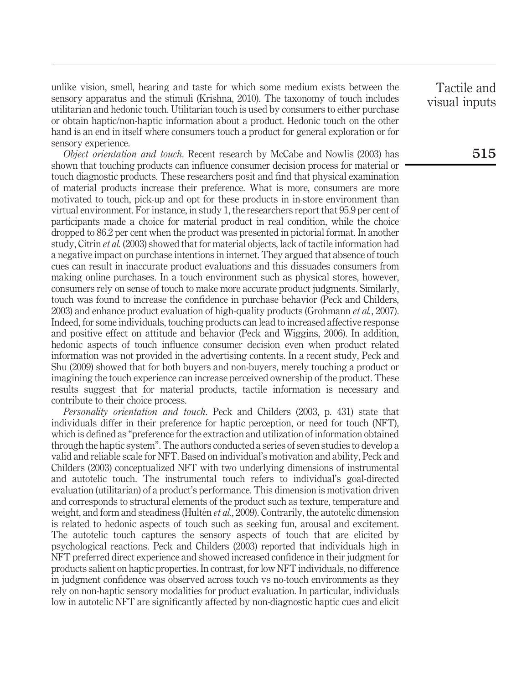unlike vision, smell, hearing and taste for which some medium exists between the sensory apparatus and the stimuli (Krishna, 2010). The taxonomy of touch includes utilitarian and hedonic touch. Utilitarian touch is used by consumers to either purchase or obtain haptic/non-haptic information about a product. Hedonic touch on the other hand is an end in itself where consumers touch a product for general exploration or for sensory experience.

Object orientation and touch. Recent research by McCabe and Nowlis (2003) has shown that touching products can influence consumer decision process for material or touch diagnostic products. These researchers posit and find that physical examination of material products increase their preference. What is more, consumers are more motivated to touch, pick-up and opt for these products in in-store environment than virtual environment. For instance, in study 1, the researchers report that 95.9 per cent of participants made a choice for material product in real condition, while the choice dropped to 86.2 per cent when the product was presented in pictorial format. In another study, Citrin *et al.* (2003) showed that for material objects, lack of tactile information had a negative impact on purchase intentions in internet. They argued that absence of touch cues can result in inaccurate product evaluations and this dissuades consumers from making online purchases. In a touch environment such as physical stores, however, consumers rely on sense of touch to make more accurate product judgments. Similarly, touch was found to increase the confidence in purchase behavior (Peck and Childers, 2003) and enhance product evaluation of high-quality products (Grohmann et al., 2007). Indeed, for some individuals, touching products can lead to increased affective response and positive effect on attitude and behavior (Peck and Wiggins, 2006). In addition, hedonic aspects of touch influence consumer decision even when product related information was not provided in the advertising contents. In a recent study, Peck and Shu (2009) showed that for both buyers and non-buyers, merely touching a product or imagining the touch experience can increase perceived ownership of the product. These results suggest that for material products, tactile information is necessary and contribute to their choice process.

Personality orientation and touch. Peck and Childers (2003, p. 431) state that individuals differ in their preference for haptic perception, or need for touch (NFT), which is defined as "preference for the extraction and utilization of information obtained through the haptic system". The authors conducted a series of seven studies to develop a valid and reliable scale for NFT. Based on individual's motivation and ability, Peck and Childers (2003) conceptualized NFT with two underlying dimensions of instrumental and autotelic touch. The instrumental touch refers to individual's goal-directed evaluation (utilitarian) of a product's performance. This dimension is motivation driven and corresponds to structural elements of the product such as texture, temperature and weight, and form and steadiness (Hultén *et al.*, 2009). Contrarily, the autotelic dimension is related to hedonic aspects of touch such as seeking fun, arousal and excitement. The autotelic touch captures the sensory aspects of touch that are elicited by psychological reactions. Peck and Childers (2003) reported that individuals high in NFT preferred direct experience and showed increased confidence in their judgment for products salient on haptic properties. In contrast, for low NFT individuals, no difference in judgment confidence was observed across touch vs no-touch environments as they rely on non-haptic sensory modalities for product evaluation. In particular, individuals low in autotelic NFT are significantly affected by non-diagnostic haptic cues and elicit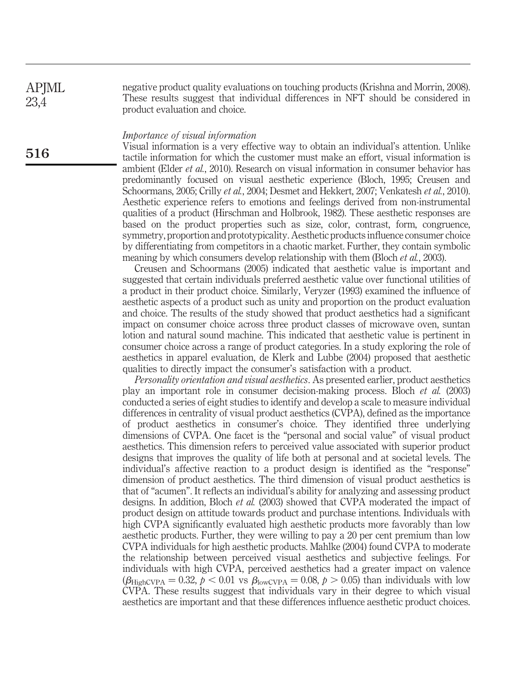negative product quality evaluations on touching products (Krishna and Morrin, 2008). These results suggest that individual differences in NFT should be considered in product evaluation and choice.

#### Importance of visual information

Visual information is a very effective way to obtain an individual's attention. Unlike tactile information for which the customer must make an effort, visual information is ambient (Elder et al., 2010). Research on visual information in consumer behavior has predominantly focused on visual aesthetic experience (Bloch, 1995; Creusen and Schoormans, 2005; Crilly et al., 2004; Desmet and Hekkert, 2007; Venkatesh et al., 2010). Aesthetic experience refers to emotions and feelings derived from non-instrumental qualities of a product (Hirschman and Holbrook, 1982). These aesthetic responses are based on the product properties such as size, color, contrast, form, congruence, symmetry, proportion and prototypicality. Aesthetic products influence consumer choice by differentiating from competitors in a chaotic market. Further, they contain symbolic meaning by which consumers develop relationship with them (Bloch *et al.*, 2003).

Creusen and Schoormans (2005) indicated that aesthetic value is important and suggested that certain individuals preferred aesthetic value over functional utilities of a product in their product choice. Similarly, Veryzer (1993) examined the influence of aesthetic aspects of a product such as unity and proportion on the product evaluation and choice. The results of the study showed that product aesthetics had a significant impact on consumer choice across three product classes of microwave oven, suntan lotion and natural sound machine. This indicated that aesthetic value is pertinent in consumer choice across a range of product categories. In a study exploring the role of aesthetics in apparel evaluation, de Klerk and Lubbe (2004) proposed that aesthetic qualities to directly impact the consumer's satisfaction with a product.

Personality orientation and visual aesthetics. As presented earlier, product aesthetics play an important role in consumer decision-making process. Bloch et al. (2003) conducted a series of eight studies to identify and develop a scale to measure individual differences in centrality of visual product aesthetics (CVPA), defined as the importance of product aesthetics in consumer's choice. They identified three underlying dimensions of CVPA. One facet is the "personal and social value" of visual product aesthetics. This dimension refers to perceived value associated with superior product designs that improves the quality of life both at personal and at societal levels. The individual's affective reaction to a product design is identified as the "response" dimension of product aesthetics. The third dimension of visual product aesthetics is that of "acumen". It reflects an individual's ability for analyzing and assessing product designs. In addition, Bloch et al. (2003) showed that CVPA moderated the impact of product design on attitude towards product and purchase intentions. Individuals with high CVPA significantly evaluated high aesthetic products more favorably than low aesthetic products. Further, they were willing to pay a 20 per cent premium than low CVPA individuals for high aesthetic products. Mahlke (2004) found CVPA to moderate the relationship between perceived visual aesthetics and subjective feelings. For individuals with high CVPA, perceived aesthetics had a greater impact on valence  $(\beta_{\text{HighCVPA}} = 0.32, p < 0.01 \text{ vs } \beta_{\text{lowCVPA}} = 0.08, p > 0.05)$  than individuals with low CVPA. These results suggest that individuals vary in their degree to which visual aesthetics are important and that these differences influence aesthetic product choices.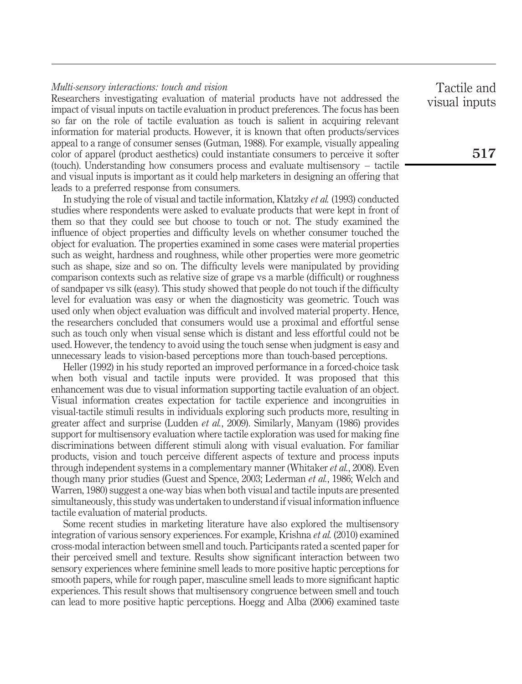#### Multi-sensory interactions: touch and vision

Researchers investigating evaluation of material products have not addressed the impact of visual inputs on tactile evaluation in product preferences. The focus has been so far on the role of tactile evaluation as touch is salient in acquiring relevant information for material products. However, it is known that often products/services appeal to a range of consumer senses (Gutman, 1988). For example, visually appealing color of apparel (product aesthetics) could instantiate consumers to perceive it softer (touch). Understanding how consumers process and evaluate multisensory – tactile and visual inputs is important as it could help marketers in designing an offering that leads to a preferred response from consumers.

In studying the role of visual and tactile information, Klatzky et al. (1993) conducted studies where respondents were asked to evaluate products that were kept in front of them so that they could see but choose to touch or not. The study examined the influence of object properties and difficulty levels on whether consumer touched the object for evaluation. The properties examined in some cases were material properties such as weight, hardness and roughness, while other properties were more geometric such as shape, size and so on. The difficulty levels were manipulated by providing comparison contexts such as relative size of grape vs a marble (difficult) or roughness of sandpaper vs silk (easy). This study showed that people do not touch if the difficulty level for evaluation was easy or when the diagnosticity was geometric. Touch was used only when object evaluation was difficult and involved material property. Hence, the researchers concluded that consumers would use a proximal and effortful sense such as touch only when visual sense which is distant and less effortful could not be used. However, the tendency to avoid using the touch sense when judgment is easy and unnecessary leads to vision-based perceptions more than touch-based perceptions.

Heller (1992) in his study reported an improved performance in a forced-choice task when both visual and tactile inputs were provided. It was proposed that this enhancement was due to visual information supporting tactile evaluation of an object. Visual information creates expectation for tactile experience and incongruities in visual-tactile stimuli results in individuals exploring such products more, resulting in greater affect and surprise (Ludden et al., 2009). Similarly, Manyam (1986) provides support for multisensory evaluation where tactile exploration was used for making fine discriminations between different stimuli along with visual evaluation. For familiar products, vision and touch perceive different aspects of texture and process inputs through independent systems in a complementary manner (Whitaker et al., 2008). Even though many prior studies (Guest and Spence, 2003; Lederman et al., 1986; Welch and Warren, 1980) suggest a one-way bias when both visual and tactile inputs are presented simultaneously, this study was undertaken to understand if visual information influence tactile evaluation of material products.

Some recent studies in marketing literature have also explored the multisensory integration of various sensory experiences. For example, Krishna et al. (2010) examined cross-modal interaction between smell and touch. Participants rated a scented paper for their perceived smell and texture. Results show significant interaction between two sensory experiences where feminine smell leads to more positive haptic perceptions for smooth papers, while for rough paper, masculine smell leads to more significant haptic experiences. This result shows that multisensory congruence between smell and touch can lead to more positive haptic perceptions. Hoegg and Alba (2006) examined taste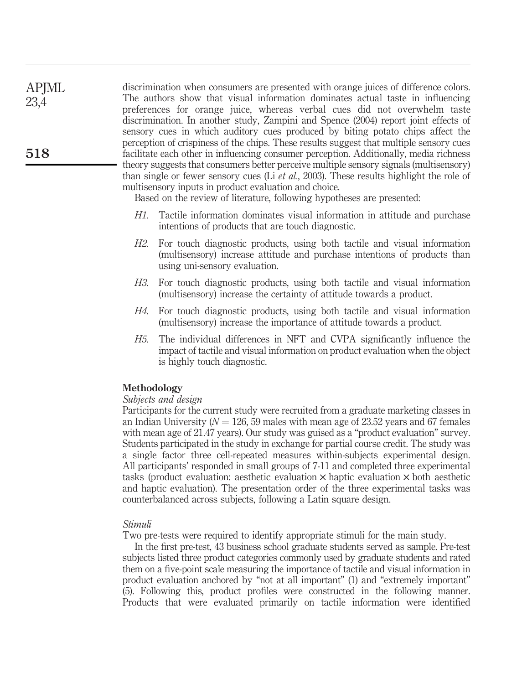discrimination when consumers are presented with orange juices of difference colors. The authors show that visual information dominates actual taste in influencing preferences for orange juice, whereas verbal cues did not overwhelm taste discrimination. In another study, Zampini and Spence (2004) report joint effects of sensory cues in which auditory cues produced by biting potato chips affect the perception of crispiness of the chips. These results suggest that multiple sensory cues facilitate each other in influencing consumer perception. Additionally, media richness theory suggests that consumers better perceive multiple sensory signals (multisensory) than single or fewer sensory cues (Li *et al.*, 2003). These results highlight the role of multisensory inputs in product evaluation and choice.

Based on the review of literature, following hypotheses are presented:

- H1. Tactile information dominates visual information in attitude and purchase intentions of products that are touch diagnostic.
- H<sub>2</sub>. For touch diagnostic products, using both tactile and visual information (multisensory) increase attitude and purchase intentions of products than using uni-sensory evaluation.
- H3. For touch diagnostic products, using both tactile and visual information (multisensory) increase the certainty of attitude towards a product.
- H4. For touch diagnostic products, using both tactile and visual information (multisensory) increase the importance of attitude towards a product.
- H5. The individual differences in NFT and CVPA significantly influence the impact of tactile and visual information on product evaluation when the object is highly touch diagnostic.

# Methodology

### Subjects and design

Participants for the current study were recruited from a graduate marketing classes in an Indian University ( $N = 126$ , 59 males with mean age of 23.52 years and 67 females with mean age of 21.47 years). Our study was guised as a "product evaluation" survey. Students participated in the study in exchange for partial course credit. The study was a single factor three cell-repeated measures within-subjects experimental design. All participants' responded in small groups of 7-11 and completed three experimental tasks (product evaluation: aesthetic evaluation  $\times$  haptic evaluation  $\times$  both aesthetic and haptic evaluation). The presentation order of the three experimental tasks was counterbalanced across subjects, following a Latin square design.

#### Stimuli

Two pre-tests were required to identify appropriate stimuli for the main study.

In the first pre-test, 43 business school graduate students served as sample. Pre-test subjects listed three product categories commonly used by graduate students and rated them on a five-point scale measuring the importance of tactile and visual information in product evaluation anchored by "not at all important" (1) and "extremely important" (5). Following this, product profiles were constructed in the following manner. Products that were evaluated primarily on tactile information were identified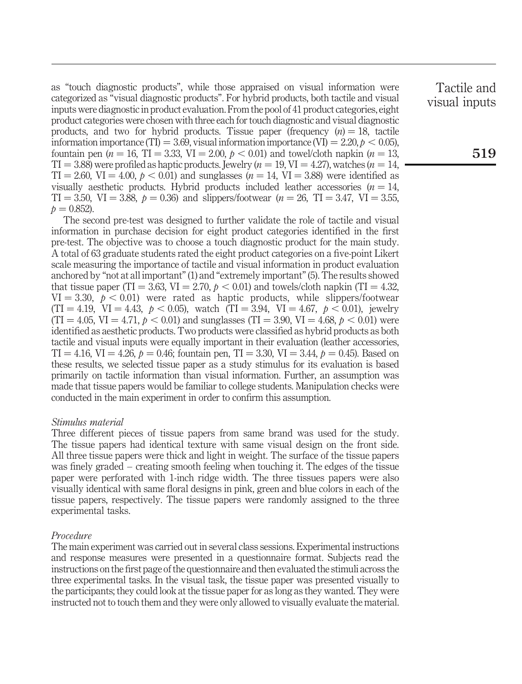as "touch diagnostic products", while those appraised on visual information were categorized as "visual diagnostic products". For hybrid products, both tactile and visual inputs were diagnostic in product evaluation. From the pool of 41 product categories, eight product categories were chosen with three each for touch diagnostic and visual diagnostic products, and two for hybrid products. Tissue paper (frequency  $(n) = 18$ , tactile information importance (TI) = 3.69, visual information importance (VI) = 2.20,  $p < 0.05$ ), fountain pen ( $n = 16$ , TI = 3.33, VI = 2.00,  $p < 0.01$ ) and towel/cloth napkin ( $n = 13$ ,  $TI = 3.88$ ) were profiled as haptic products. Jewelry ( $n = 19$ , VI  $= 4.27$ ), watches ( $n = 14$ ,  $TI = 2.60$ ,  $VI = 4.00$ ,  $p < 0.01$  and sunglasses ( $n = 14$ , VI = 3.88) were identified as visually aesthetic products. Hybrid products included leather accessories  $(n = 14, ...)$  $TI = 3.50$ ,  $VI = 3.88$ ,  $p = 0.36$ ) and slippers/footwear ( $n = 26$ ,  $TI = 3.47$ ,  $VI = 3.55$ ,  $p = 0.852$ .

The second pre-test was designed to further validate the role of tactile and visual information in purchase decision for eight product categories identified in the first pre-test. The objective was to choose a touch diagnostic product for the main study. A total of 63 graduate students rated the eight product categories on a five-point Likert scale measuring the importance of tactile and visual information in product evaluation anchored by "not at all important" (1) and "extremely important" (5). The results showed that tissue paper (TI = 3.63, VI = 2.70,  $p < 0.01$ ) and towels/cloth napkin (TI = 4.32,  $VI = 3.30, \, p \leq 0.01$  were rated as haptic products, while slippers/footwear  $(TI = 4.19, \text{ VI} = 4.43, \ p < 0.05)$ , watch  $(TI = 3.94, \text{ VI} = 4.67, \ p < 0.01)$ , jewelry  $(TI = 4.05, VI = 4.71, p < 0.01)$  and sunglasses  $(TI = 3.90, VI = 4.68, p < 0.01)$  were identified as aesthetic products. Two products were classified as hybrid products as both tactile and visual inputs were equally important in their evaluation (leather accessories,  $TI = 4.16$ ,  $VI = 4.26$ ,  $p = 0.46$ ; fountain pen,  $TI = 3.30$ ,  $VI = 3.44$ ,  $p = 0.45$ ). Based on these results, we selected tissue paper as a study stimulus for its evaluation is based primarily on tactile information than visual information. Further, an assumption was made that tissue papers would be familiar to college students. Manipulation checks were conducted in the main experiment in order to confirm this assumption.

#### Stimulus material

Three different pieces of tissue papers from same brand was used for the study. The tissue papers had identical texture with same visual design on the front side. All three tissue papers were thick and light in weight. The surface of the tissue papers was finely graded – creating smooth feeling when touching it. The edges of the tissue paper were perforated with 1-inch ridge width. The three tissues papers were also visually identical with same floral designs in pink, green and blue colors in each of the tissue papers, respectively. The tissue papers were randomly assigned to the three experimental tasks.

### Procedure

The main experiment was carried out in several class sessions. Experimental instructions and response measures were presented in a questionnaire format. Subjects read the instructions on the first page of the questionnaire and then evaluated the stimuli across the three experimental tasks. In the visual task, the tissue paper was presented visually to the participants; they could look at the tissue paper for as long as they wanted. They were instructed not to touch them and they were only allowed to visually evaluate the material.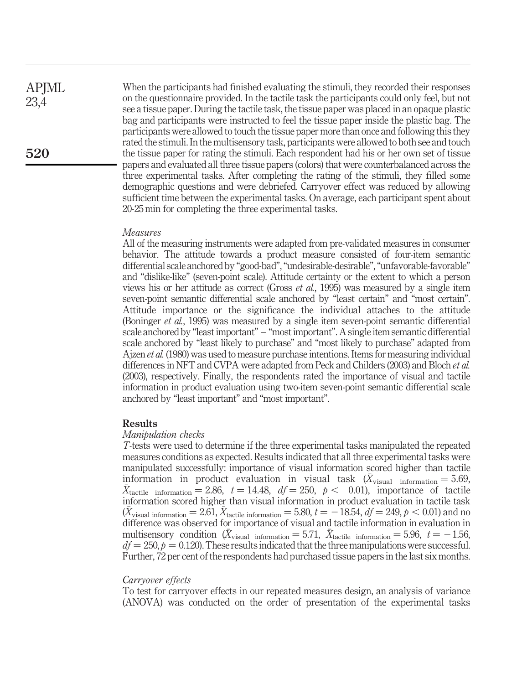When the participants had finished evaluating the stimuli, they recorded their responses on the questionnaire provided. In the tactile task the participants could only feel, but not see a tissue paper. During the tactile task, the tissue paper was placed in an opaque plastic bag and participants were instructed to feel the tissue paper inside the plastic bag. The participants were allowed to touch the tissue paper more than once and following this they rated the stimuli. In the multisensory task, participants were allowed to both see and touch the tissue paper for rating the stimuli. Each respondent had his or her own set of tissue papers and evaluated all three tissue papers (colors) that were counterbalanced across the three experimental tasks. After completing the rating of the stimuli, they filled some demographic questions and were debriefed. Carryover effect was reduced by allowing sufficient time between the experimental tasks. On average, each participant spent about 20-25 min for completing the three experimental tasks.

#### Measures

All of the measuring instruments were adapted from pre-validated measures in consumer behavior. The attitude towards a product measure consisted of four-item semantic differential scale anchored by "good-bad", "undesirable-desirable", "unfavorable-favorable" and "dislike-like" (seven-point scale). Attitude certainty or the extent to which a person views his or her attitude as correct (Gross et al., 1995) was measured by a single item seven-point semantic differential scale anchored by "least certain" and "most certain". Attitude importance or the significance the individual attaches to the attitude (Boninger et al., 1995) was measured by a single item seven-point semantic differential scale anchored by "least important" – "most important". A single item semantic differential scale anchored by "least likely to purchase" and "most likely to purchase" adapted from Ajzen et al. (1980) was used to measure purchase intentions. Items for measuring individual differences in NFT and CVPA were adapted from Peck and Childers (2003) and Bloch et al. (2003), respectively. Finally, the respondents rated the importance of visual and tactile information in product evaluation using two-item seven-point semantic differential scale anchored by "least important" and "most important".

#### Results

#### Manipulation checks

T-tests were used to determine if the three experimental tasks manipulated the repeated measures conditions as expected. Results indicated that all three experimental tasks were manipulated successfully: importance of visual information scored higher than tactile information in product evaluation in visual task  $(X_{\text{visual information}} = 5.69,$  $\bar{X}_{\text{tactile}}$  information = 2.86, t = 14.48,  $df = 250$ ,  $p < 0.01$ ), importance of tactile information scored higher than visual information in product evaluation in tactile task  $(\bar{X}_{\text{visual information}} = 2.61, \bar{X}_{\text{tactile information}} = 5.80, t = -18.54, df = 249, p < 0.01)$  and no difference was observed for importance of visual and tactile information in evaluation in multisensory condition ( $\bar{X}_{\text{visual information}} = 5.71$ ,  $\bar{X}_{\text{tactile information}} = 5.96$ ,  $t = -1.56$ ,  $df = 250, p = 0.120$ . These results indicated that the three manipulations were successful. Further, 72 per cent of the respondents had purchased tissue papers in the last six months.

#### Carryover effects

To test for carryover effects in our repeated measures design, an analysis of variance (ANOVA) was conducted on the order of presentation of the experimental tasks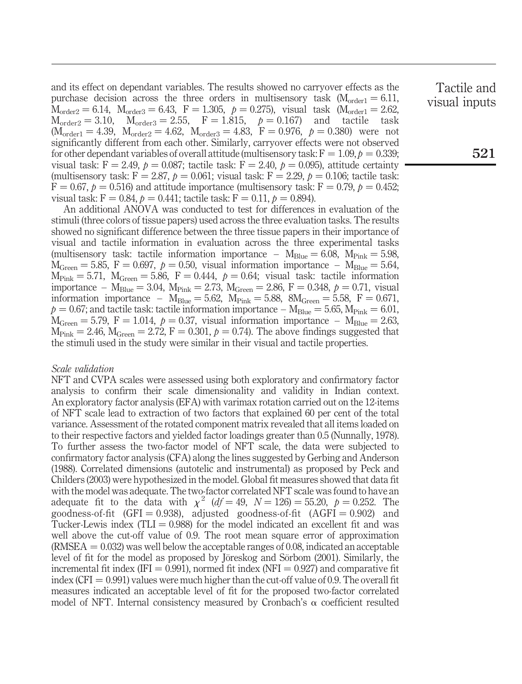and its effect on dependant variables. The results showed no carryover effects as the purchase decision across the three orders in multisensory task  $(M_{\text{order1}} = 6.11,$  $M_{\text{order2}} = 6.14$ ,  $M_{\text{order3}} = 6.43$ ,  $F = 1.305$ ,  $p = 0.275$ ), visual task  $(M_{\text{order1}} = 2.62$ ,  $M_{\text{order2}} = 3.10, \quad M_{\text{order3}} = 2.55, \quad F = 1.815, \quad p = 0.167$  and tactile task  $(M_{\text{order1}} = 4.39, M_{\text{order2}} = 4.62, M_{\text{order3}} = 4.83, F = 0.976, p = 0.380)$  were not significantly different from each other. Similarly, carryover effects were not observed for other dependant variables of overall attitude (multisensory task:  $F = 1.09, p = 0.339;$ visual task:  $F = 2.49$ ,  $p = 0.087$ ; tactile task:  $F = 2.40$ ,  $p = 0.095$ ), attitude certainty (multisensory task:  $F = 2.87$ ,  $p = 0.061$ ; visual task:  $F = 2.29$ ,  $p = 0.106$ ; tactile task:  $F = 0.67$ ,  $p = 0.516$ ) and attitude importance (multisensory task:  $F = 0.79$ ,  $p = 0.452$ ; visual task:  $F = 0.84$ ,  $p = 0.441$ ; tactile task:  $F = 0.11$ ,  $p = 0.894$ ).

An additional ANOVA was conducted to test for differences in evaluation of the stimuli (three colors of tissue papers) used across the three evaluation tasks. The results showed no significant difference between the three tissue papers in their importance of visual and tactile information in evaluation across the three experimental tasks (multisensory task: tactile information importance –  $M_{Blue} = 6.08$ ,  $M_{Pink} = 5.98$ ,  $M_{Green} = 5.85, F = 0.697, p = 0.50, visual information importance - M_{Blue} = 5.64,$  $M_{\text{Pink}} = 5.71$ ,  $M_{\text{Green}} = 5.86$ ,  $F = 0.444$ ,  $p = 0.64$ ; visual task: tactile information importance –  $M_{Blue} = 3.04$ ,  $M_{Pink} = 2.73$ ,  $M_{Green} = 2.86$ ,  $F = 0.348$ ,  $p = 0.71$ , visual information importance –  $M_{Blue} = 5.62$ ,  $M_{Pink} = 5.88$ ,  $8M_{Green} = 5.58$ ,  $F = 0.671$ ,  $p = 0.67$ ; and tactile task: tactile information importance –  $M_{Blue} = 5.65$ ,  $M_{Pink} = 6.01$ ,  $M_{\text{Green}} = 5.79$ , F = 1.014,  $p = 0.37$ , visual information importance –  $M_{\text{Blue}} = 2.63$ ,  $M_{\text{Pink}} = 2.46$ ,  $M_{\text{Green}} = 2.72$ ,  $F = 0.301$ ,  $p = 0.74$ ). The above findings suggested that the stimuli used in the study were similar in their visual and tactile properties.

#### Scale validation

NFT and CVPA scales were assessed using both exploratory and confirmatory factor analysis to confirm their scale dimensionality and validity in Indian context. An exploratory factor analysis (EFA) with varimax rotation carried out on the 12-items of NFT scale lead to extraction of two factors that explained 60 per cent of the total variance. Assessment of the rotated component matrix revealed that all items loaded on to their respective factors and yielded factor loadings greater than 0.5 (Nunnally, 1978). To further assess the two-factor model of NFT scale, the data were subjected to confirmatory factor analysis (CFA) along the lines suggested by Gerbing and Anderson (1988). Correlated dimensions (autotelic and instrumental) as proposed by Peck and Childers (2003) were hypothesized in the model. Global fit measures showed that data fit with the model was adequate. The two-factor correlated NFT scale was found to have an adequate fit to the data with  $\chi^2$  (df = 49, N = 126) = 55.20, p = 0.252. The goodness-of-fit (GFI = 0.938), adjusted goodness-of-fit (AGFI = 0.902) and Tucker-Lewis index (TLI  $= 0.988$ ) for the model indicated an excellent fit and was well above the cut-off value of 0.9. The root mean square error of approximation  $(RMSEA = 0.032)$  was well below the acceptable ranges of 0.08, indicated an acceptable level of fit for the model as proposed by Jöreskog and Sörbom (2001). Similarly, the incremental fit index (IFI  $= 0.991$ ), normed fit index (NFI  $= 0.927$ ) and comparative fit index (CFI  $= 0.991$ ) values were much higher than the cut-off value of 0.9. The overall fit measures indicated an acceptable level of fit for the proposed two-factor correlated model of NFT. Internal consistency measured by Cronbach's  $\alpha$  coefficient resulted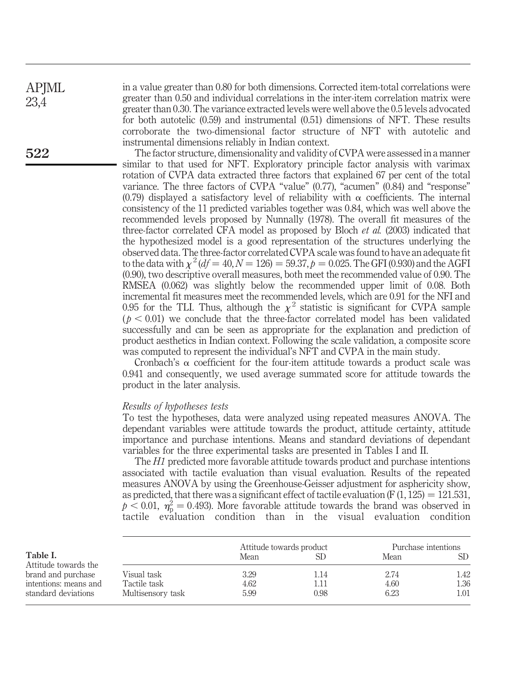**APJML** 23,4

522

in a value greater than 0.80 for both dimensions. Corrected item-total correlations were greater than 0.50 and individual correlations in the inter-item correlation matrix were greater than 0.30. The variance extracted levels were well above the 0.5 levels advocated for both autotelic (0.59) and instrumental (0.51) dimensions of NFT. These results corroborate the two-dimensional factor structure of NFT with autotelic and instrumental dimensions reliably in Indian context.

The factor structure, dimensionality and validity of CVPA were assessed in a manner similar to that used for NFT. Exploratory principle factor analysis with varimax rotation of CVPA data extracted three factors that explained 67 per cent of the total variance. The three factors of CVPA "value" (0.77), "acumen" (0.84) and "response"  $(0.79)$  displayed a satisfactory level of reliability with  $\alpha$  coefficients. The internal consistency of the 11 predicted variables together was 0.84, which was well above the recommended levels proposed by Nunnally (1978). The overall fit measures of the three-factor correlated CFA model as proposed by Bloch et al. (2003) indicated that the hypothesized model is a good representation of the structures underlying the observed data. The three-factor correlated CVPA scale was found to have an adequate fit to the data with  $\chi^2$  (df = 40, N = 126) = 59.37, p = 0.025. The GFI (0.930) and the AGFI (0.90), two descriptive overall measures, both meet the recommended value of 0.90. The RMSEA (0.062) was slightly below the recommended upper limit of 0.08. Both incremental fit measures meet the recommended levels, which are 0.91 for the NFI and 0.95 for the TLI. Thus, although the  $\chi^2$  statistic is significant for CVPA sample  $(p < 0.01)$  we conclude that the three-factor correlated model has been validated successfully and can be seen as appropriate for the explanation and prediction of product aesthetics in Indian context. Following the scale validation, a composite score was computed to represent the individual's NFT and CVPA in the main study.

Cronbach's  $\alpha$  coefficient for the four-item attitude towards a product scale was 0.941 and consequently, we used average summated score for attitude towards the product in the later analysis.

#### Results of hypotheses tests

To test the hypotheses, data were analyzed using repeated measures ANOVA. The dependant variables were attitude towards the product, attitude certainty, attitude importance and purchase intentions. Means and standard deviations of dependant variables for the three experimental tasks are presented in Tables I and II.

The H1 predicted more favorable attitude towards product and purchase intentions associated with tactile evaluation than visual evaluation. Results of the repeated measures ANOVA by using the Greenhouse-Geisser adjustment for asphericity show, as predicted, that there was a significant effect of tactile evaluation (F  $(1, 125) = 121.531$ ,  $p < 0.01$ ,  $\eta_{\rm p}^2 = 0.493$ ). More favorable attitude towards the brand was observed in tactile evaluation condition than in the visual evaluation condition

|                                  |                   | Attitude towards product |      | Purchase intentions |      |
|----------------------------------|-------------------|--------------------------|------|---------------------|------|
| Table I.<br>Attitude towards the |                   | Mean                     |      | Mean                |      |
| brand and purchase               | Visual task       | 3.29                     | 1.14 | 2.74                | 1.42 |
| intentions: means and            | Tactile task      | 4.62                     | 1.11 | 4.60                | 1.36 |
| standard deviations              | Multisensory task | 5.99                     | 0.98 | 6.23                | 1.01 |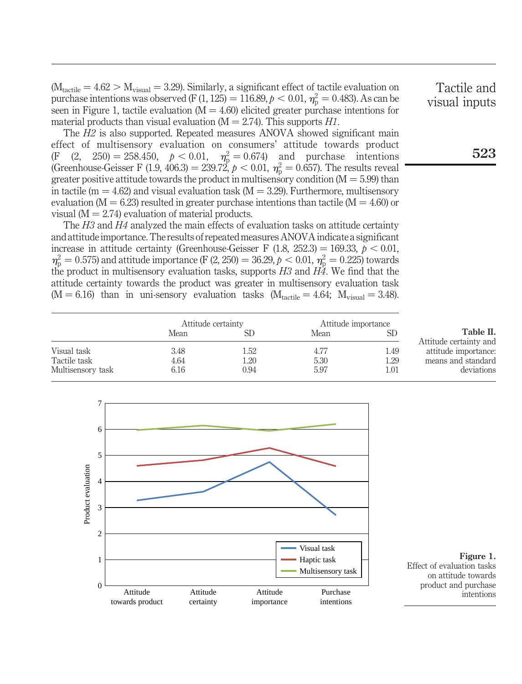$(M<sub>tactile</sub> = 4.62 > M<sub>visual</sub> = 3.29)$ . Similarly, a significant effect of tactile evaluation on purchase intentions was observed (F (1, 125)  $= 116.89, p < 0.01, \eta_{\rm p}^2 = 0.483$ ). As can be seen in Figure 1, tactile evaluation ( $M = 4.60$ ) elicited greater purchase intentions for material products than visual evaluation ( $M = 2.74$ ). This supports *H1*.

The H2 is also supported. Repeated measures ANOVA showed significant main effect of multisensory evaluation on consumers' attitude towards product (F (2, 250) = 258.450,  $p < 0.01$ ,  $\eta_{\rm p}^2 = 0.674$ ) and purchase intentions (Greenhouse-Geisser F (1.9, 406.3) = 239.72,  $p < 0.01$ ,  $\eta_{\rm p}^2 = 0.657$ ). The results reveal greater positive attitude towards the product in multisensory condition  $(M = 5.99)$  than in tactile (m  $=$  4.62) and visual evaluation task (M  $=$  3.29). Furthermore, multisensory evaluation ( $M = 6.23$ ) resulted in greater purchase intentions than tactile ( $M = 4.60$ ) or visual ( $M = 2.74$ ) evaluation of material products.

The H<sub>3</sub> and H<sub>4</sub> analyzed the main effects of evaluation tasks on attitude certainty and attitude importance. The results of repeated measures ANOVA indicate a significant increase in attitude certainty (Greenhouse-Geisser F  $(1.8, 252.3) = 169.33, p < 0.01$ ,  $\eta_{\rm p}^2 = 0.575$ ) and attitude importance (F (2, 250) = 36.29,  $p < 0.01$ ,  $\eta_{\rm p}^2 = 0.225$ ) towards the product in multisensory evaluation tasks, supports  $H_3$  and  $H_4$ . We find that the attitude certainty towards the product was greater in multisensory evaluation task  $(M = 6.16)$  than in uni-sensory evaluation tasks  $(M<sub>tactile</sub> = 4.64; M<sub>visual</sub> = 3.48)$ .

|                   | Attitude certainty |      | Attitude importance |      |                                                |
|-------------------|--------------------|------|---------------------|------|------------------------------------------------|
|                   | Mean               |      | Mean                |      | Table II.                                      |
| Visual task       | 3.48               | . 52 | 4.77                | 1.49 | Attitude certainty and<br>attitude importance: |
| Tactile task      | 4.64               | l.20 | 5.30                | 1.29 | means and standard                             |
| Multisensory task | 6.16               | 0.94 | 5.97                | 1.01 | deviations                                     |



Figure 1. Effect of evaluation tasks on attitude towards product and purchase intentions

visual inputs

Tactile and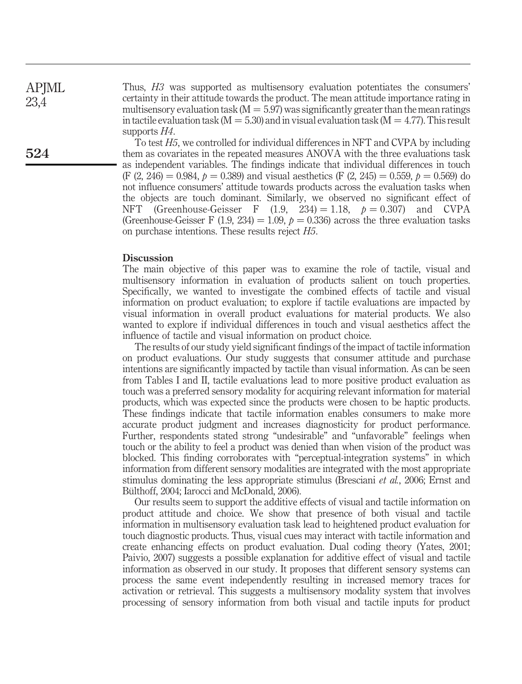**APJML** 23,4

Thus, H3 was supported as multisensory evaluation potentiates the consumers' certainty in their attitude towards the product. The mean attitude importance rating in multisensory evaluation task ( $M = 5.97$ ) was significantly greater than the mean ratings in tactile evaluation task ( $M = 5.30$ ) and in visual evaluation task ( $M = 4.77$ ). This result supports H4.

To test H5, we controlled for individual differences in NFT and CVPA by including them as covariates in the repeated measures ANOVA with the three evaluations task as independent variables. The findings indicate that individual differences in touch (F (2, 246) = 0.984,  $p = 0.389$ ) and visual aesthetics (F (2, 245) = 0.559,  $p = 0.569$ ) do not influence consumers' attitude towards products across the evaluation tasks when the objects are touch dominant. Similarly, we observed no significant effect of NFT (Greenhouse-Geisser F  $(1.9, 234) = 1.18, p = 0.307$ ) and CVPA (Greenhouse-Geisser F (1.9, 234) = 1.09,  $p = 0.336$ ) across the three evaluation tasks on purchase intentions. These results reject H5.

#### **Discussion**

The main objective of this paper was to examine the role of tactile, visual and multisensory information in evaluation of products salient on touch properties. Specifically, we wanted to investigate the combined effects of tactile and visual information on product evaluation; to explore if tactile evaluations are impacted by visual information in overall product evaluations for material products. We also wanted to explore if individual differences in touch and visual aesthetics affect the influence of tactile and visual information on product choice.

The results of our study yield significant findings of the impact of tactile information on product evaluations. Our study suggests that consumer attitude and purchase intentions are significantly impacted by tactile than visual information. As can be seen from Tables I and II, tactile evaluations lead to more positive product evaluation as touch was a preferred sensory modality for acquiring relevant information for material products, which was expected since the products were chosen to be haptic products. These findings indicate that tactile information enables consumers to make more accurate product judgment and increases diagnosticity for product performance. Further, respondents stated strong "undesirable" and "unfavorable" feelings when touch or the ability to feel a product was denied than when vision of the product was blocked. This finding corroborates with "perceptual-integration systems" in which information from different sensory modalities are integrated with the most appropriate stimulus dominating the less appropriate stimulus (Bresciani et al., 2006; Ernst and Bülthoff, 2004; Iarocci and McDonald, 2006).

Our results seem to support the additive effects of visual and tactile information on product attitude and choice. We show that presence of both visual and tactile information in multisensory evaluation task lead to heightened product evaluation for touch diagnostic products. Thus, visual cues may interact with tactile information and create enhancing effects on product evaluation. Dual coding theory (Yates, 2001; Paivio, 2007) suggests a possible explanation for additive effect of visual and tactile information as observed in our study. It proposes that different sensory systems can process the same event independently resulting in increased memory traces for activation or retrieval. This suggests a multisensory modality system that involves processing of sensory information from both visual and tactile inputs for product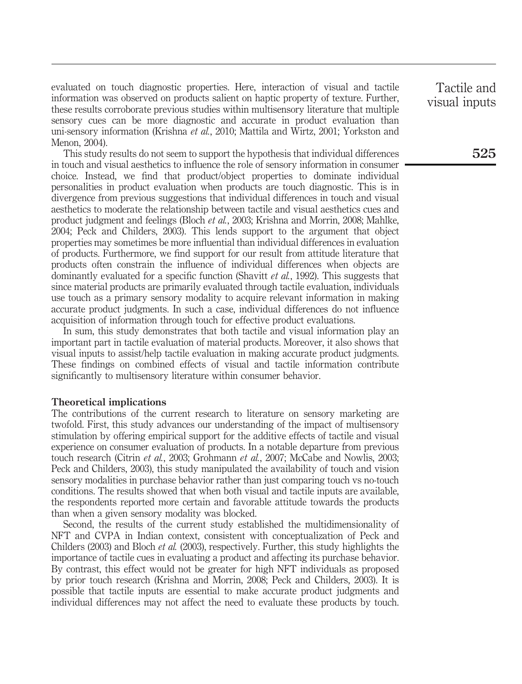evaluated on touch diagnostic properties. Here, interaction of visual and tactile information was observed on products salient on haptic property of texture. Further, these results corroborate previous studies within multisensory literature that multiple sensory cues can be more diagnostic and accurate in product evaluation than uni-sensory information (Krishna et al., 2010; Mattila and Wirtz, 2001; Yorkston and Menon, 2004).

This study results do not seem to support the hypothesis that individual differences in touch and visual aesthetics to influence the role of sensory information in consumer choice. Instead, we find that product/object properties to dominate individual personalities in product evaluation when products are touch diagnostic. This is in divergence from previous suggestions that individual differences in touch and visual aesthetics to moderate the relationship between tactile and visual aesthetics cues and product judgment and feelings (Bloch et al., 2003; Krishna and Morrin, 2008; Mahlke, 2004; Peck and Childers, 2003). This lends support to the argument that object properties may sometimes be more influential than individual differences in evaluation of products. Furthermore, we find support for our result from attitude literature that products often constrain the influence of individual differences when objects are dominantly evaluated for a specific function (Shavitt *et al.*, 1992). This suggests that since material products are primarily evaluated through tactile evaluation, individuals use touch as a primary sensory modality to acquire relevant information in making accurate product judgments. In such a case, individual differences do not influence acquisition of information through touch for effective product evaluations.

In sum, this study demonstrates that both tactile and visual information play an important part in tactile evaluation of material products. Moreover, it also shows that visual inputs to assist/help tactile evaluation in making accurate product judgments. These findings on combined effects of visual and tactile information contribute significantly to multisensory literature within consumer behavior.

#### Theoretical implications

The contributions of the current research to literature on sensory marketing are twofold. First, this study advances our understanding of the impact of multisensory stimulation by offering empirical support for the additive effects of tactile and visual experience on consumer evaluation of products. In a notable departure from previous touch research (Citrin et al., 2003; Grohmann et al., 2007; McCabe and Nowlis, 2003; Peck and Childers, 2003), this study manipulated the availability of touch and vision sensory modalities in purchase behavior rather than just comparing touch vs no-touch conditions. The results showed that when both visual and tactile inputs are available, the respondents reported more certain and favorable attitude towards the products than when a given sensory modality was blocked.

Second, the results of the current study established the multidimensionality of NFT and CVPA in Indian context, consistent with conceptualization of Peck and Childers (2003) and Bloch et al. (2003), respectively. Further, this study highlights the importance of tactile cues in evaluating a product and affecting its purchase behavior. By contrast, this effect would not be greater for high NFT individuals as proposed by prior touch research (Krishna and Morrin, 2008; Peck and Childers, 2003). It is possible that tactile inputs are essential to make accurate product judgments and individual differences may not affect the need to evaluate these products by touch.

Tactile and visual inputs

525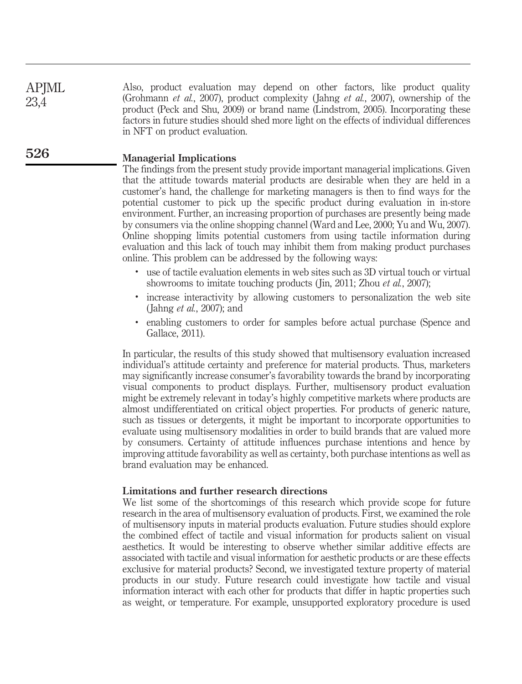Also, product evaluation may depend on other factors, like product quality (Grohmann et al., 2007), product complexity (Jahng et al., 2007), ownership of the product (Peck and Shu, 2009) or brand name (Lindstrom, 2005). Incorporating these factors in future studies should shed more light on the effects of individual differences in NFT on product evaluation.

# Managerial Implications

The findings from the present study provide important managerial implications. Given that the attitude towards material products are desirable when they are held in a customer's hand, the challenge for marketing managers is then to find ways for the potential customer to pick up the specific product during evaluation in in-store environment. Further, an increasing proportion of purchases are presently being made by consumers via the online shopping channel (Ward and Lee, 2000; Yu and Wu, 2007). Online shopping limits potential customers from using tactile information during evaluation and this lack of touch may inhibit them from making product purchases online. This problem can be addressed by the following ways:

- . use of tactile evaluation elements in web sites such as 3D virtual touch or virtual showrooms to imitate touching products (Jin, 2011; Zhou *et al.*, 2007);
- . increase interactivity by allowing customers to personalization the web site (Jahng  $et$  al., 2007); and
- . enabling customers to order for samples before actual purchase (Spence and Gallace, 2011).

In particular, the results of this study showed that multisensory evaluation increased individual's attitude certainty and preference for material products. Thus, marketers may significantly increase consumer's favorability towards the brand by incorporating visual components to product displays. Further, multisensory product evaluation might be extremely relevant in today's highly competitive markets where products are almost undifferentiated on critical object properties. For products of generic nature, such as tissues or detergents, it might be important to incorporate opportunities to evaluate using multisensory modalities in order to build brands that are valued more by consumers. Certainty of attitude influences purchase intentions and hence by improving attitude favorability as well as certainty, both purchase intentions as well as brand evaluation may be enhanced.

#### Limitations and further research directions

We list some of the shortcomings of this research which provide scope for future research in the area of multisensory evaluation of products. First, we examined the role of multisensory inputs in material products evaluation. Future studies should explore the combined effect of tactile and visual information for products salient on visual aesthetics. It would be interesting to observe whether similar additive effects are associated with tactile and visual information for aesthetic products or are these effects exclusive for material products? Second, we investigated texture property of material products in our study. Future research could investigate how tactile and visual information interact with each other for products that differ in haptic properties such as weight, or temperature. For example, unsupported exploratory procedure is used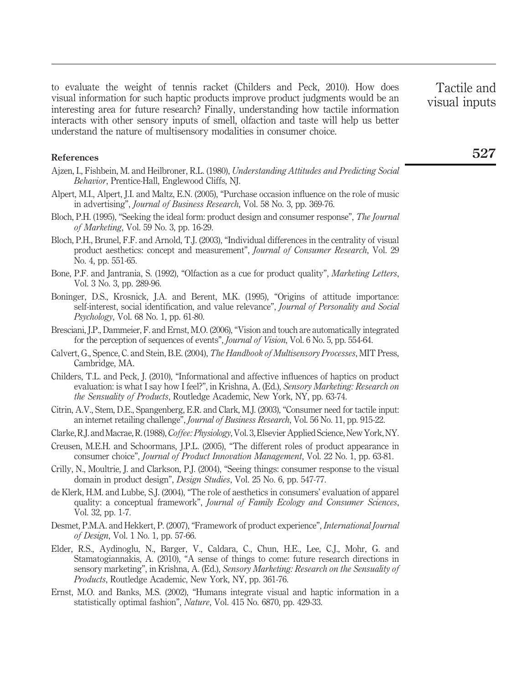to evaluate the weight of tennis racket (Childers and Peck, 2010). How does visual information for such haptic products improve product judgments would be an interesting area for future research? Finally, understanding how tactile information interacts with other sensory inputs of smell, olfaction and taste will help us better understand the nature of multisensory modalities in consumer choice.

References

- Ajzen, I., Fishbein, M. and Heilbroner, R.L. (1980), Understanding Attitudes and Predicting Social Behavior, Prentice-Hall, Englewood Cliffs, NJ.
- Alpert, M.I., Alpert, J.I. and Maltz, E.N. (2005), "Purchase occasion influence on the role of music in advertising", Journal of Business Research, Vol. 58 No. 3, pp. 369-76.
- Bloch, P.H. (1995), "Seeking the ideal form: product design and consumer response", The Journal of Marketing, Vol. 59 No. 3, pp. 16-29.
- Bloch, P.H., Brunel, F.F. and Arnold, T.J. (2003), "Individual differences in the centrality of visual product aesthetics: concept and measurement", Journal of Consumer Research, Vol. 29 No. 4, pp. 551-65.
- Bone, P.F. and Jantrania, S. (1992), "Olfaction as a cue for product quality", Marketing Letters, Vol. 3 No. 3, pp. 289-96.
- Boninger, D.S., Krosnick, J.A. and Berent, M.K. (1995), "Origins of attitude importance: self-interest, social identification, and value relevance", Journal of Personality and Social Psychology, Vol. 68 No. 1, pp. 61-80.
- Bresciani, J.P., Dammeier, F. and Ernst, M.O. (2006), "Vision and touch are automatically integrated for the perception of sequences of events", Journal of Vision, Vol. 6 No. 5, pp. 554-64.
- Calvert, G., Spence, C. and Stein, B.E. (2004), The Handbook of Multisensory Processes, MIT Press, Cambridge, MA.
- Childers, T.L. and Peck, J. (2010), "Informational and affective influences of haptics on product evaluation: is what I say how I feel?", in Krishna, A. (Ed.), Sensory Marketing: Research on the Sensuality of Products, Routledge Academic, New York, NY, pp. 63-74.
- Citrin, A.V., Stem, D.E., Spangenberg, E.R. and Clark, M.J. (2003), "Consumer need for tactile input: an internet retailing challenge", Journal of Business Research, Vol. 56 No. 11, pp. 915-22.
- Clarke, R.J. and Macrae, R. (1988), *Coffee: Physiology*, Vol. 3, Elsevier Applied Science, New York, NY.
- Creusen, M.E.H. and Schoormans, J.P.L. (2005), "The different roles of product appearance in consumer choice", Journal of Product Innovation Management, Vol. 22 No. 1, pp. 63-81.
- Crilly, N., Moultrie, J. and Clarkson, P.J. (2004), "Seeing things: consumer response to the visual domain in product design", Design Studies, Vol. 25 No. 6, pp. 547-77.
- de Klerk, H.M. and Lubbe, S.J. (2004), "The role of aesthetics in consumers' evaluation of apparel quality: a conceptual framework", Journal of Family Ecology and Consumer Sciences, Vol. 32, pp. 1-7.
- Desmet, P.M.A. and Hekkert, P. (2007), "Framework of product experience", International Journal of Design, Vol. 1 No. 1, pp. 57-66.
- Elder, R.S., Aydinoglu, N., Barger, V., Caldara, C., Chun, H.E., Lee, C.J., Mohr, G. and Stamatogiannakis, A. (2010), "A sense of things to come: future research directions in sensory marketing", in Krishna, A. (Ed.), Sensory Marketing: Research on the Sensuality of Products, Routledge Academic, New York, NY, pp. 361-76.
- Ernst, M.O. and Banks, M.S. (2002), "Humans integrate visual and haptic information in a statistically optimal fashion", Nature, Vol. 415 No. 6870, pp. 429-33.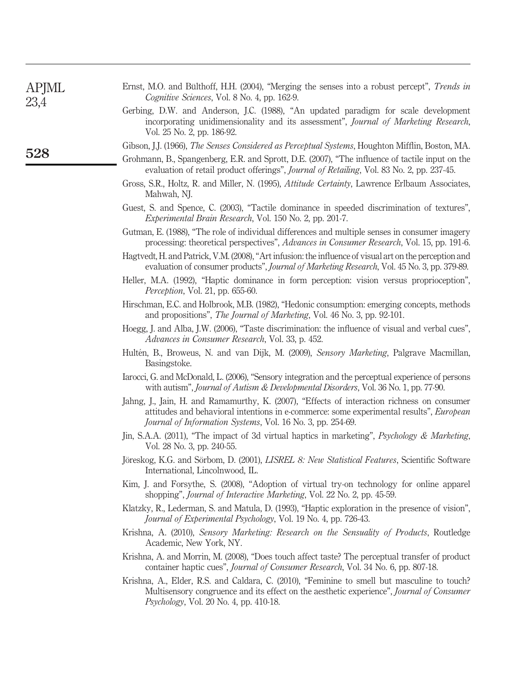| <b>APJML</b><br>23,4 | Ernst, M.O. and Bülthoff, H.H. (2004), "Merging the senses into a robust percept", Trends in<br>Cognitive Sciences, Vol. 8 No. 4, pp. 162-9.                                                                                                                       |  |  |  |  |
|----------------------|--------------------------------------------------------------------------------------------------------------------------------------------------------------------------------------------------------------------------------------------------------------------|--|--|--|--|
|                      | Gerbing, D.W. and Anderson, J.C. (1988), "An updated paradigm for scale development<br>incorporating unidimensionality and its assessment", <i>Journal of Marketing Research</i> ,<br>Vol. 25 No. 2, pp. 186-92.                                                   |  |  |  |  |
|                      | Gibson, J.J. (1966), <i>The Senses Considered as Perceptual Systems</i> , Houghton Mifflin, Boston, MA.                                                                                                                                                            |  |  |  |  |
| 528                  | Grohmann, B., Spangenberg, E.R. and Sprott, D.E. (2007), "The influence of tactile input on the<br>evaluation of retail product offerings", <i>Journal of Retailing</i> , Vol. 83 No. 2, pp. 237-45.                                                               |  |  |  |  |
|                      | Gross, S.R., Holtz, R. and Miller, N. (1995), <i>Attitude Certainty</i> , Lawrence Erlbaum Associates,<br>Mahwah, NJ.                                                                                                                                              |  |  |  |  |
|                      | Guest, S. and Spence, C. (2003), "Tactile dominance in speeded discrimination of textures",<br>Experimental Brain Research, Vol. 150 No. 2, pp. 201-7.                                                                                                             |  |  |  |  |
|                      | Gutman, E. (1988), "The role of individual differences and multiple senses in consumer imagery<br>processing: theoretical perspectives", Advances in Consumer Research, Vol. 15, pp. 191-6.                                                                        |  |  |  |  |
|                      | Hagtvedt, H. and Patrick, V.M. (2008), "Art infusion: the influence of visual art on the perception and<br>evaluation of consumer products", <i>Journal of Marketing Research</i> , Vol. 45 No. 3, pp. 379-89.                                                     |  |  |  |  |
|                      | Heller, M.A. (1992), "Haptic dominance in form perception: vision versus proprioception",<br><i>Perception, Vol. 21, pp. 655-60.</i>                                                                                                                               |  |  |  |  |
|                      | Hirschman, E.C. and Holbrook, M.B. (1982), "Hedonic consumption: emerging concepts, methods<br>and propositions", The Journal of Marketing, Vol. 46 No. 3, pp. 92-101.                                                                                             |  |  |  |  |
|                      | Hoegg, J. and Alba, J.W. (2006), "Taste discrimination: the influence of visual and verbal cues",<br>Advances in Consumer Research, Vol. 33, p. 452.                                                                                                               |  |  |  |  |
|                      | Hultén, B., Broweus, N. and van Dijk, M. (2009), Sensory Marketing, Palgrave Macmillan,<br>Basingstoke.                                                                                                                                                            |  |  |  |  |
|                      | Iarocci, G. and McDonald, L. (2006), "Sensory integration and the perceptual experience of persons<br>with autism", Journal of Autism & Developmental Disorders, Vol. 36 No. 1, pp. 77-90.                                                                         |  |  |  |  |
|                      | Jahng, J., Jain, H. and Ramamurthy, K. (2007), "Effects of interaction richness on consumer<br>attitudes and behavioral intentions in e-commerce: some experimental results", <i>European</i><br><i>Journal of Information Systems, Vol. 16 No. 3, pp. 254-69.</i> |  |  |  |  |
|                      | Jin, S.A.A. (2011), "The impact of 3d virtual haptics in marketing", <i>Psychology &amp; Marketing</i> ,<br>Vol. 28 No. 3, pp. 240-55.                                                                                                                             |  |  |  |  |
|                      | Jöreskog, K.G. and Sörbom, D. (2001), LISREL 8: New Statistical Features, Scientific Software<br>International, Lincolnwood, IL.                                                                                                                                   |  |  |  |  |
|                      | Kim, J. and Forsythe, S. (2008), "Adoption of virtual try-on technology for online apparel<br>shopping", Journal of Interactive Marketing, Vol. 22 No. 2, pp. 45-59.                                                                                               |  |  |  |  |
|                      | Klatzky, R., Lederman, S. and Matula, D. (1993), "Haptic exploration in the presence of vision",<br><i>Journal of Experimental Psychology, Vol. 19 No. 4, pp. 726-43.</i>                                                                                          |  |  |  |  |
|                      | Krishna, A. (2010), Sensory Marketing: Research on the Sensuality of Products, Routledge<br>Academic, New York, NY.                                                                                                                                                |  |  |  |  |
|                      | Krishna, A. and Morrin, M. (2008), "Does touch affect taste? The perceptual transfer of product<br>container haptic cues", Journal of Consumer Research, Vol. 34 No. 6, pp. 807-18.                                                                                |  |  |  |  |
|                      | Krishna, A., Elder, R.S. and Caldara, C. (2010), "Feminine to smell but masculine to touch?<br>Multisensory congruence and its effect on the aesthetic experience", Journal of Consumer<br>Psychology, Vol. 20 No. 4, pp. 410-18.                                  |  |  |  |  |
|                      |                                                                                                                                                                                                                                                                    |  |  |  |  |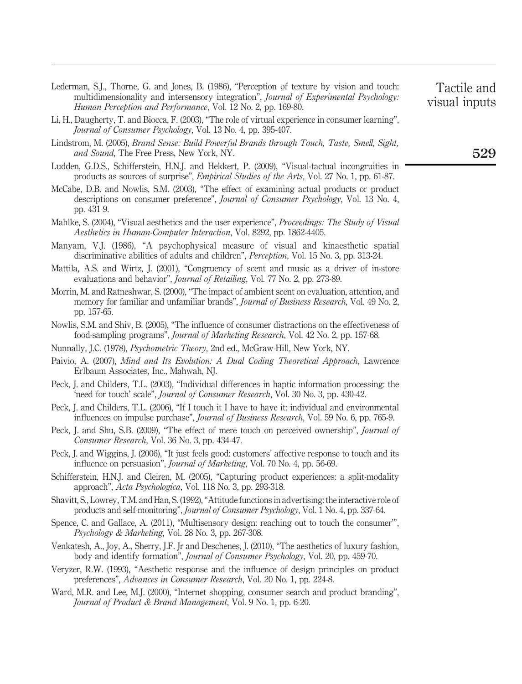- Lederman, S.J., Thorne, G. and Jones, B. (1986), "Perception of texture by vision and touch: multidimensionality and intersensory integration", *Journal of Experimental Psychology*: Human Perception and Performance, Vol. 12 No. 2, pp. 169-80.
- Li, H., Daugherty, T. and Biocca, F. (2003), "The role of virtual experience in consumer learning", Journal of Consumer Psychology, Vol. 13 No. 4, pp. 395-407.
- Lindstrom, M. (2005), Brand Sense: Build Powerful Brands through Touch, Taste, Smell, Sight, and Sound, The Free Press, New York, NY.
- Ludden, G.D.S., Schifferstein, H.N.J. and Hekkert, P. (2009), "Visual-tactual incongruities in products as sources of surprise", Empirical Studies of the Arts, Vol. 27 No. 1, pp. 61-87.
- McCabe, D.B. and Nowlis, S.M. (2003), "The effect of examining actual products or product descriptions on consumer preference", Journal of Consumer Psychology, Vol. 13 No. 4, pp. 431-9.
- Mahlke, S. (2004), "Visual aesthetics and the user experience", Proceedings: The Study of Visual Aesthetics in Human-Computer Interaction, Vol. 8292, pp. 1862-4405.
- Manyam, V.J. (1986), "A psychophysical measure of visual and kinaesthetic spatial discriminative abilities of adults and children", Perception, Vol. 15 No. 3, pp. 313-24.
- Mattila, A.S. and Wirtz, J. (2001), "Congruency of scent and music as a driver of in-store evaluations and behavior", Journal of Retailing, Vol. 77 No. 2, pp. 273-89.
- Morrin, M. and Ratneshwar, S. (2000), "The impact of ambient scent on evaluation, attention, and memory for familiar and unfamiliar brands", *Journal of Business Research*, Vol. 49 No. 2, pp. 157-65.
- Nowlis, S.M. and Shiv, B. (2005), "The influence of consumer distractions on the effectiveness of food-sampling programs", Journal of Marketing Research, Vol. 42 No. 2, pp. 157-68.
- Nunnally, J.C. (1978), Psychometric Theory, 2nd ed., McGraw-Hill, New York, NY.
- Paivio, A. (2007), Mind and Its Evolution: A Dual Coding Theoretical Approach, Lawrence Erlbaum Associates, Inc., Mahwah, NJ.
- Peck, J. and Childers, T.L. (2003), "Individual differences in haptic information processing: the 'need for touch' scale", Journal of Consumer Research, Vol. 30 No. 3, pp. 430-42.
- Peck, J. and Childers, T.L. (2006), "If I touch it I have to have it: individual and environmental influences on impulse purchase", Journal of Business Research, Vol. 59 No. 6, pp. 765-9.
- Peck, J. and Shu, S.B. (2009), "The effect of mere touch on perceived ownership", Journal of Consumer Research, Vol. 36 No. 3, pp. 434-47.
- Peck, J. and Wiggins, J. (2006), "It just feels good: customers' affective response to touch and its influence on persuasion", Journal of Marketing, Vol. 70 No. 4, pp. 56-69.
- Schifferstein, H.N.J. and Cleiren, M. (2005), "Capturing product experiences: a split-modality approach", Acta Psychologica, Vol. 118 No. 3, pp. 293-318.
- Shavitt, S., Lowrey, T.M. and Han, S. (1992), "Attitude functions in advertising: the interactive role of products and self-monitoring", Journal of Consumer Psychology, Vol. 1 No. 4, pp. 337-64.
- Spence, C. and Gallace, A. (2011), "Multisensory design: reaching out to touch the consumer'", Psychology & Marketing, Vol. 28 No. 3, pp. 267-308.
- Venkatesh, A., Joy, A., Sherry, J.F. Jr and Deschenes, J. (2010), "The aesthetics of luxury fashion, body and identify formation", Journal of Consumer Psychology, Vol. 20, pp. 459-70.
- Veryzer, R.W. (1993), "Aesthetic response and the influence of design principles on product preferences", Advances in Consumer Research, Vol. 20 No. 1, pp. 224-8.
- Ward, M.R. and Lee, M.J. (2000), "Internet shopping, consumer search and product branding", Journal of Product & Brand Management, Vol. 9 No. 1, pp. 6-20.

Tactile and visual inputs

529